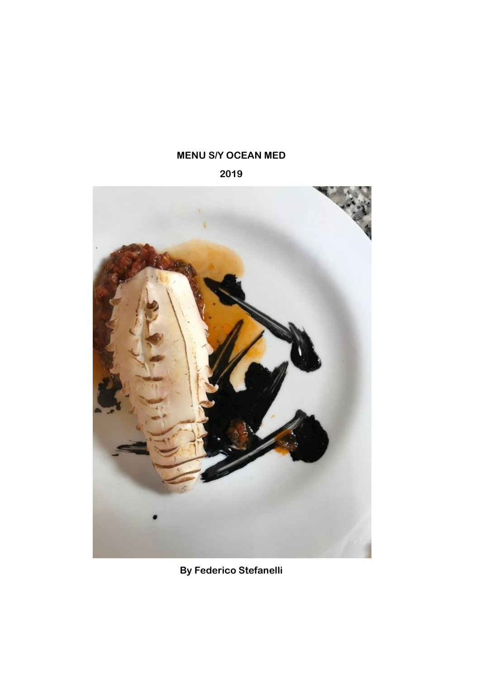# **MENU S/Y OCEAN MED**

**2019**



**By Federico Stefanelli**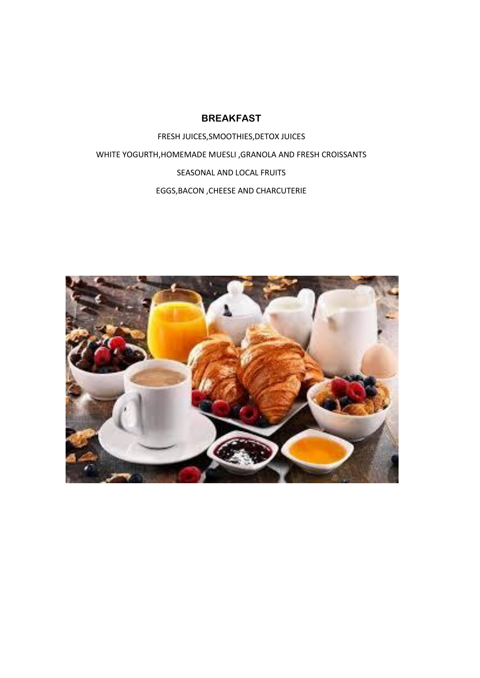### **BREAKFAST**

FRESH JUICES,SMOOTHIES,DETOX JUICES WHITE YOGURTH,HOMEMADE MUESLI ,GRANOLA AND FRESH CROISSANTS SEASONAL AND LOCAL FRUITS EGGS,BACON ,CHEESE AND CHARCUTERIE

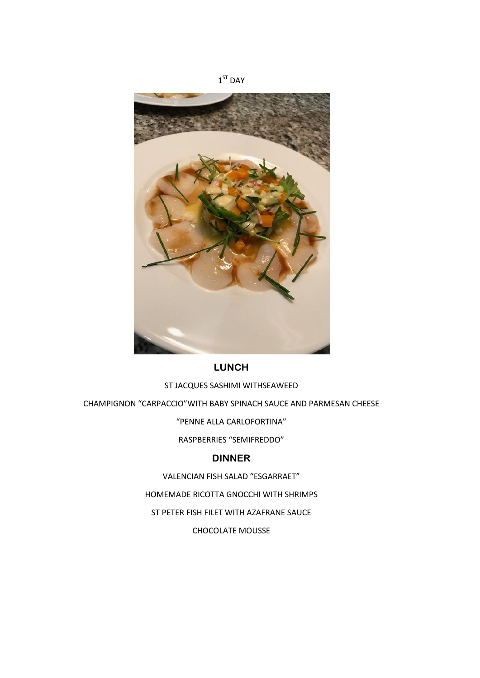



#### ST JACQUES SASHIMI WITHSEAWEED

CHAMPIGNON "CARPACCIO"WITH BABY SPINACH SAUCE AND PARMESAN CHEESE

"PENNE ALLA CARLOFORTINA"

RASPBERRIES "SEMIFREDDO"

## **DINNER**

VALENCIAN FISH SALAD "ESGARRAET"

HOMEMADE RICOTTA GNOCCHI WITH SHRIMPS

ST PETER FISH FILET WITH AZAFRANE SAUCE

CHOCOLATE MOUSSE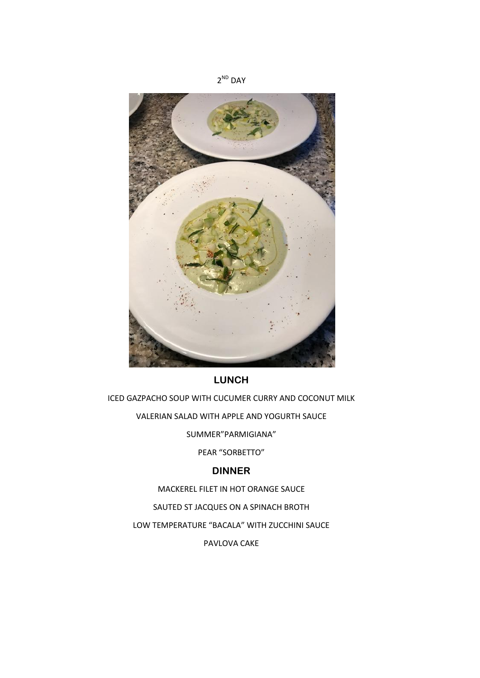

ICED GAZPACHO SOUP WITH CUCUMER CURRY AND COCONUT MILK VALERIAN SALAD WITH APPLE AND YOGURTH SAUCE SUMMER"PARMIGIANA" PEAR "SORBETTO"

## **DINNER**

MACKEREL FILET IN HOT ORANGE SAUCE

SAUTED ST JACQUES ON A SPINACH BROTH

LOW TEMPERATURE "BACALA" WITH ZUCCHINI SAUCE

PAVLOVA CAKE

2<sup>ND</sup> DAY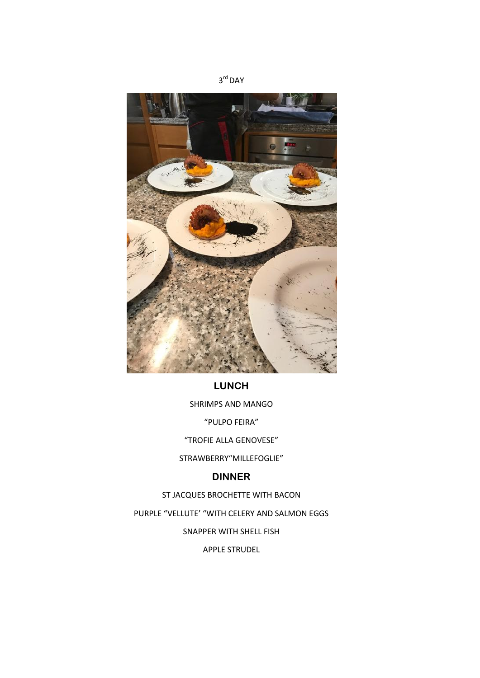



SHRIMPS AND MANGO

"PULPO FEIRA"

"TROFIE ALLA GENOVESE"

STRAWBERRY"MILLEFOGLIE"

#### **DINNER**

ST JACQUES BROCHETTE WITH BACON

PURPLE "VELLUTE' "WITH CELERY AND SALMON EGGS

SNAPPER WITH SHELL FISH

APPLE STRUDEL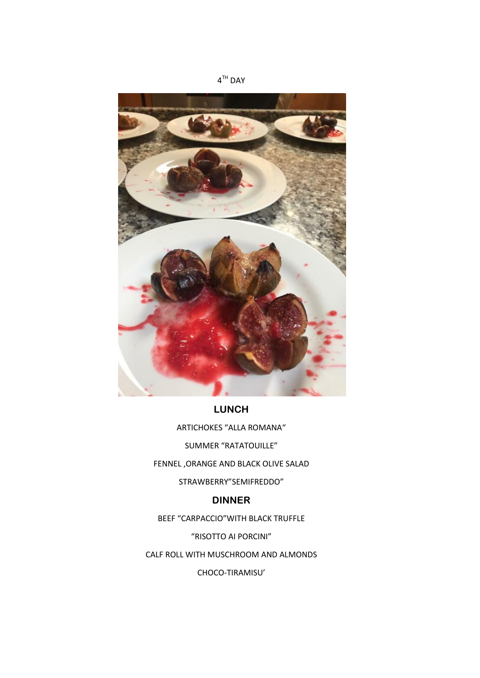

ARTICHOKES "ALLA ROMANA" SUMMER "RATATOUILLE" FENNEL ,ORANGE AND BLACK OLIVE SALAD

STRAWBERRY"SEMIFREDDO"

### **DINNER**

BEEF "CARPACCIO"WITH BLACK TRUFFLE

"RISOTTO AI PORCINI"

CALF ROLL WITH MUSCHROOM AND ALMONDS

CHOCO-TIRAMISU'

4 TH DAY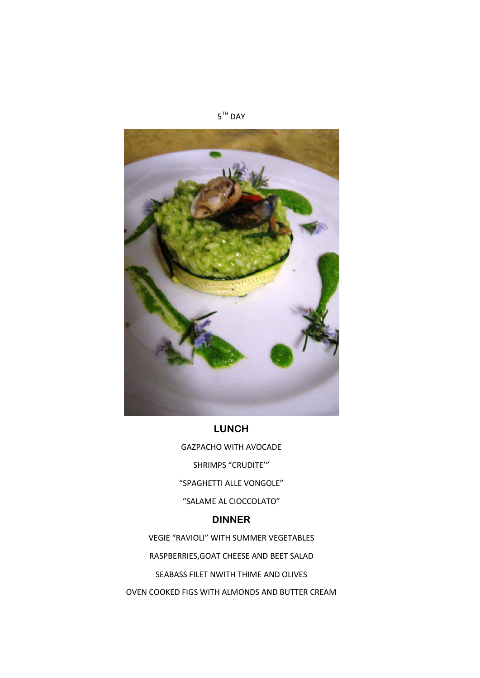

GAZPACHO WITH AVOCADE SHRIMPS "CRUDITE'" "SPAGHETTI ALLE VONGOLE" "SALAME AL CIOCCOLATO"

## **DINNER**

VEGIE "RAVIOLI" WITH SUMMER VEGETABLES RASPBERRIES,GOAT CHEESE AND BEET SALAD SEABASS FILET NWITH THIME AND OLIVES OVEN COOKED FIGS WITH ALMONDS AND BUTTER CREAM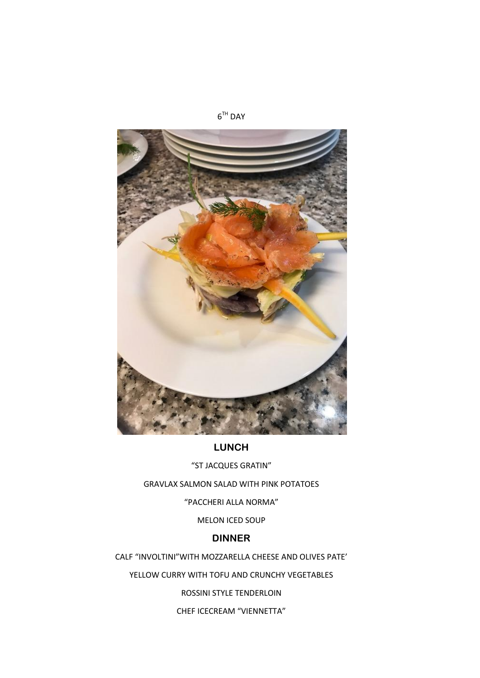

"ST JACQUES GRATIN"

GRAVLAX SALMON SALAD WITH PINK POTATOES

"PACCHERI ALLA NORMA"

#### MELON ICED SOUP

#### **DINNER**

CALF "INVOLTINI"WITH MOZZARELLA CHEESE AND OLIVES PATE'

YELLOW CURRY WITH TOFU AND CRUNCHY VEGETABLES

ROSSINI STYLE TENDERLOIN

CHEF ICECREAM "VIENNETTA"